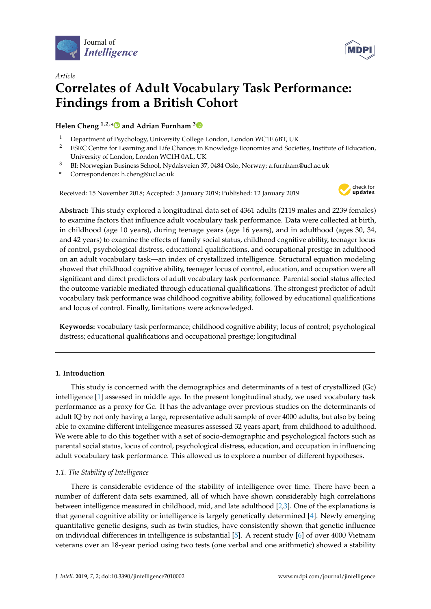

*Article*



# **Correlates of Adult Vocabulary Task Performance: Findings from a British Cohort**

**Helen Cheng 1,2,[\\*](https://orcid.org/0000-0002-1663-1216) and Adrian Furnham [3](https://orcid.org/0000-0001-7545-8532)**

- <sup>1</sup> Department of Psychology, University College London, London WC1E 6BT, UK<br><sup>2</sup> ESPC Contra for Lorraing and Life Chances in Knowledge Economics and Socio
- <sup>2</sup> ESRC Centre for Learning and Life Chances in Knowledge Economies and Societies, Institute of Education, University of London, London WC1H 0AL, UK
- <sup>3</sup> BI: Norwegian Business School, Nydalsveien 37, 0484 Oslo, Norway; a.furnham@ucl.ac.uk
- **\*** Correspondence: h.cheng@ucl.ac.uk

Received: 15 November 2018; Accepted: 3 January 2019; Published: 12 January 2019



**Abstract:** This study explored a longitudinal data set of 4361 adults (2119 males and 2239 females) to examine factors that influence adult vocabulary task performance. Data were collected at birth, in childhood (age 10 years), during teenage years (age 16 years), and in adulthood (ages 30, 34, and 42 years) to examine the effects of family social status, childhood cognitive ability, teenager locus of control, psychological distress, educational qualifications, and occupational prestige in adulthood on an adult vocabulary task—an index of crystallized intelligence. Structural equation modeling showed that childhood cognitive ability, teenager locus of control, education, and occupation were all significant and direct predictors of adult vocabulary task performance. Parental social status affected the outcome variable mediated through educational qualifications. The strongest predictor of adult vocabulary task performance was childhood cognitive ability, followed by educational qualifications and locus of control. Finally, limitations were acknowledged.

**Keywords:** vocabulary task performance; childhood cognitive ability; locus of control; psychological distress; educational qualifications and occupational prestige; longitudinal

# **1. Introduction**

This study is concerned with the demographics and determinants of a test of crystallized (Gc) intelligence [\[1\]](#page-8-0) assessed in middle age. In the present longitudinal study, we used vocabulary task performance as a proxy for Gc. It has the advantage over previous studies on the determinants of adult IQ by not only having a large, representative adult sample of over 4000 adults, but also by being able to examine different intelligence measures assessed 32 years apart, from childhood to adulthood. We were able to do this together with a set of socio-demographic and psychological factors such as parental social status, locus of control, psychological distress, education, and occupation in influencing adult vocabulary task performance. This allowed us to explore a number of different hypotheses.

# *1.1. The Stability of Intelligence*

There is considerable evidence of the stability of intelligence over time. There have been a number of different data sets examined, all of which have shown considerably high correlations between intelligence measured in childhood, mid, and late adulthood [\[2,](#page-8-1)[3\]](#page-8-2). One of the explanations is that general cognitive ability or intelligence is largely genetically determined [\[4\]](#page-8-3). Newly emerging quantitative genetic designs, such as twin studies, have consistently shown that genetic influence on individual differences in intelligence is substantial [\[5\]](#page-8-4). A recent study [\[6\]](#page-8-5) of over 4000 Vietnam veterans over an 18-year period using two tests (one verbal and one arithmetic) showed a stability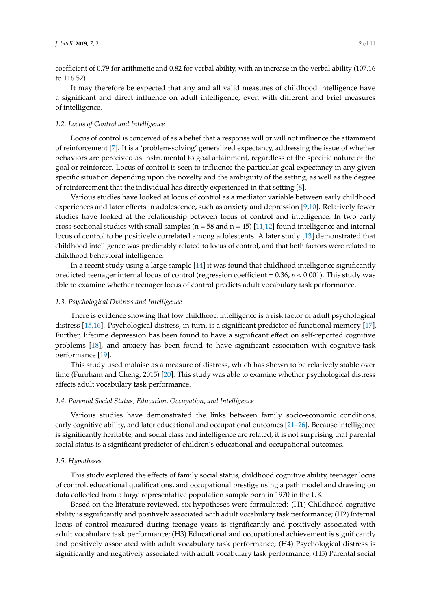coefficient of 0.79 for arithmetic and 0.82 for verbal ability, with an increase in the verbal ability (107.16 to 116.52).

It may therefore be expected that any and all valid measures of childhood intelligence have a significant and direct influence on adult intelligence, even with different and brief measures of intelligence.

#### *1.2. Locus of Control and Intelligence*

Locus of control is conceived of as a belief that a response will or will not influence the attainment of reinforcement [\[7\]](#page-8-6). It is a 'problem-solving' generalized expectancy, addressing the issue of whether behaviors are perceived as instrumental to goal attainment, regardless of the specific nature of the goal or reinforcer. Locus of control is seen to influence the particular goal expectancy in any given specific situation depending upon the novelty and the ambiguity of the setting, as well as the degree of reinforcement that the individual has directly experienced in that setting [\[8\]](#page-8-7).

Various studies have looked at locus of control as a mediator variable between early childhood experiences and later effects in adolescence, such as anxiety and depression [\[9](#page-9-0)[,10\]](#page-9-1). Relatively fewer studies have looked at the relationship between locus of control and intelligence. In two early cross-sectional studies with small samples ( $n = 58$  and  $n = 45$ ) [\[11,](#page-9-2)[12\]](#page-9-3) found intelligence and internal locus of control to be positively correlated among adolescents. A later study [\[13\]](#page-9-4) demonstrated that childhood intelligence was predictably related to locus of control, and that both factors were related to childhood behavioral intelligence.

In a recent study using a large sample [\[14\]](#page-9-5) it was found that childhood intelligence significantly predicted teenager internal locus of control (regression coefficient  $= 0.36$ ,  $p < 0.001$ ). This study was able to examine whether teenager locus of control predicts adult vocabulary task performance.

#### *1.3. Psychological Distress and Intelligence*

There is evidence showing that low childhood intelligence is a risk factor of adult psychological distress [\[15,](#page-9-6)[16\]](#page-9-7). Psychological distress, in turn, is a significant predictor of functional memory [\[17\]](#page-9-8). Further, lifetime depression has been found to have a significant effect on self-reported cognitive problems [\[18\]](#page-9-9), and anxiety has been found to have significant association with cognitive-task performance [\[19\]](#page-9-10).

This study used malaise as a measure of distress, which has shown to be relatively stable over time (Funrham and Cheng, 2015) [\[20\]](#page-9-11). This study was able to examine whether psychological distress affects adult vocabulary task performance.

#### *1.4. Parental Social Status, Education, Occupation, and Intelligence*

Various studies have demonstrated the links between family socio-economic conditions, early cognitive ability, and later educational and occupational outcomes [\[21–](#page-9-12)[26\]](#page-9-13). Because intelligence is significantly heritable, and social class and intelligence are related, it is not surprising that parental social status is a significant predictor of children's educational and occupational outcomes.

#### *1.5. Hypotheses*

This study explored the effects of family social status, childhood cognitive ability, teenager locus of control, educational qualifications, and occupational prestige using a path model and drawing on data collected from a large representative population sample born in 1970 in the UK.

Based on the literature reviewed, six hypotheses were formulated: (H1) Childhood cognitive ability is significantly and positively associated with adult vocabulary task performance; (H2) Internal locus of control measured during teenage years is significantly and positively associated with adult vocabulary task performance; (H3) Educational and occupational achievement is significantly and positively associated with adult vocabulary task performance; (H4) Psychological distress is significantly and negatively associated with adult vocabulary task performance; (H5) Parental social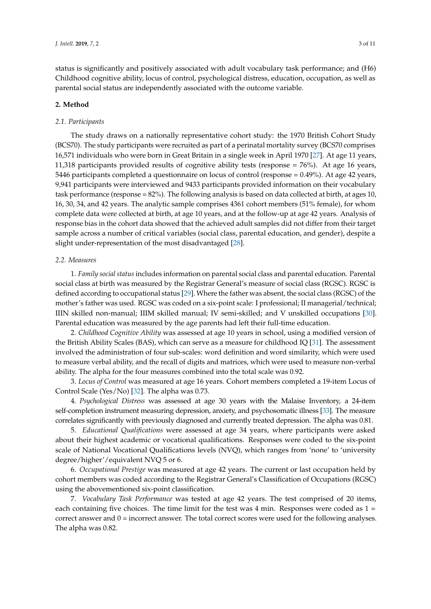status is significantly and positively associated with adult vocabulary task performance; and (H6) Childhood cognitive ability, locus of control, psychological distress, education, occupation, as well as parental social status are independently associated with the outcome variable.

#### **2. Method**

#### *2.1. Participants*

The study draws on a nationally representative cohort study: the 1970 British Cohort Study (BCS70). The study participants were recruited as part of a perinatal mortality survey (BCS70 comprises 16,571 individuals who were born in Great Britain in a single week in April 1970 [\[27\]](#page-9-14). At age 11 years, 11,318 participants provided results of cognitive ability tests (response = 76%). At age 16 years, 5446 participants completed a questionnaire on locus of control (response = 0.49%). At age 42 years, 9,941 participants were interviewed and 9433 participants provided information on their vocabulary task performance (response = 82%). The following analysis is based on data collected at birth, at ages 10, 16, 30, 34, and 42 years. The analytic sample comprises 4361 cohort members (51% female), for whom complete data were collected at birth, at age 10 years, and at the follow-up at age 42 years. Analysis of response bias in the cohort data showed that the achieved adult samples did not differ from their target sample across a number of critical variables (social class, parental education, and gender), despite a slight under-representation of the most disadvantaged [\[28\]](#page-9-15).

#### *2.2. Measures*

1. *Family social status* includes information on parental social class and parental education. Parental social class at birth was measured by the Registrar General's measure of social class (RGSC). RGSC is defined according to occupational status [\[29\]](#page-9-16). Where the father was absent, the social class (RGSC) of the mother's father was used. RGSC was coded on a six-point scale: I professional; II managerial/technical; IIIN skilled non-manual; IIIM skilled manual; IV semi-skilled; and V unskilled occupations [\[30\]](#page-9-17). Parental education was measured by the age parents had left their full-time education.

2. *Childhood Cognitive Ability* was assessed at age 10 years in school, using a modified version of the British Ability Scales (BAS), which can serve as a measure for childhood IQ [\[31\]](#page-9-18). The assessment involved the administration of four sub-scales: word definition and word similarity, which were used to measure verbal ability, and the recall of digits and matrices, which were used to measure non-verbal ability. The alpha for the four measures combined into the total scale was 0.92.

3. *Locus of Control* was measured at age 16 years. Cohort members completed a 19-item Locus of Control Scale (Yes/No) [\[32\]](#page-9-19). The alpha was 0.73.

4. *Psychological Distress* was assessed at age 30 years with the Malaise Inventory, a 24-item self-completion instrument measuring depression, anxiety, and psychosomatic illness [\[33\]](#page-9-20). The measure correlates significantly with previously diagnosed and currently treated depression. The alpha was 0.81.

5. *Educational Qualifications* were assessed at age 34 years, where participants were asked about their highest academic or vocational qualifications. Responses were coded to the six-point scale of National Vocational Qualifications levels (NVQ), which ranges from 'none' to 'university degree/higher'/equivalent NVQ 5 or 6.

6. *Occupational Prestige* was measured at age 42 years. The current or last occupation held by cohort members was coded according to the Registrar General's Classification of Occupations (RGSC) using the abovementioned six-point classification.

7. *Vocabulary Task Performance* was tested at age 42 years. The test comprised of 20 items, each containing five choices. The time limit for the test was  $4 \text{ min}$ . Responses were coded as  $1 =$ correct answer and 0 = incorrect answer. The total correct scores were used for the following analyses. The alpha was 0.82.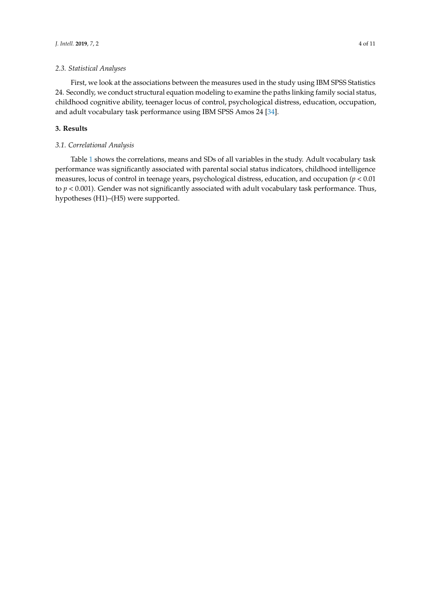First, we look at the associations between the measures used in the study using IBM SPSS Statistics 24. Secondly, we conduct structural equation modeling to examine the paths linking family social status, childhood cognitive ability, teenager locus of control, psychological distress, education, occupation, and adult vocabulary task performance using IBM SPSS Amos 24 [\[34\]](#page-9-21).

# **3. Results**

# *3.1. Correlational Analysis*

Table [1](#page-4-0) shows the correlations, means and SDs of all variables in the study. Adult vocabulary task performance was significantly associated with parental social status indicators, childhood intelligence measures, locus of control in teenage years, psychological distress, education, and occupation (*p* < 0.01 to  $p < 0.001$ ). Gender was not significantly associated with adult vocabulary task performance. Thus, hypotheses (H1)–(H5) were supported.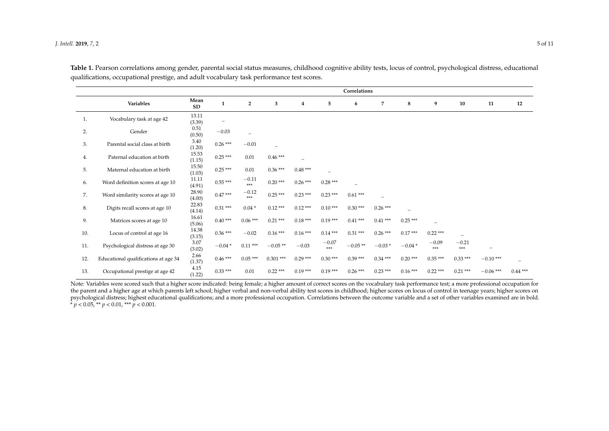#### *J. Intell.* **2019**, *7*, 2 5 of 11

|     |                                      | Correlations      |              |                          |                          |           |                |                          |                          |                          |                          |                          |                   |                          |
|-----|--------------------------------------|-------------------|--------------|--------------------------|--------------------------|-----------|----------------|--------------------------|--------------------------|--------------------------|--------------------------|--------------------------|-------------------|--------------------------|
|     | Variables                            | Mean<br><b>SD</b> | $\mathbf{1}$ | $\overline{2}$           | 3                        | $\bf{4}$  | 5              | 6                        | 7                        | 8                        | 9                        | 10                       | 11                | 12                       |
| 1.  | Vocabulary task at age 42            | 13.11<br>(3.39)   | -            |                          |                          |           |                |                          |                          |                          |                          |                          |                   |                          |
| 2.  | Gender                               | 0.51<br>(0.50)    | $-0.03$      | $\overline{\phantom{0}}$ |                          |           |                |                          |                          |                          |                          |                          |                   |                          |
| 3.  | Parental social class at birth       | 3.40<br>(1.20)    | $0.26***$    | $-0.01$                  | $\overline{\phantom{a}}$ |           |                |                          |                          |                          |                          |                          |                   |                          |
| 4.  | Paternal education at birth          | 15.53<br>(1.15)   | $0.25***$    | 0.01                     | $0.46***$                |           |                |                          |                          |                          |                          |                          |                   |                          |
| 5.  | Maternal education at birth          | 15.50<br>(1.03)   | $0.25***$    | 0.01                     | $0.36***$                | $0.48***$ |                |                          |                          |                          |                          |                          |                   |                          |
| 6.  | Word definition scores at age 10     | 11.11<br>(4.91)   | $0.55***$    | $-0.11$<br>***           | $0.20***$                | $0.26***$ | $0.28***$      | $\overline{\phantom{a}}$ |                          |                          |                          |                          |                   |                          |
| 7.  | Word similarity scores at age 10     | 28.90<br>(4.00)   | $0.47***$    | $-0.12$<br>***           | $0.25***$                | $0.23***$ | $0.23***$      | $0.61***$                | $\overline{\phantom{a}}$ |                          |                          |                          |                   |                          |
| 8.  | Digits recall scores at age 10       | 22.83<br>(4.14)   | $0.31***$    | $0.04*$                  | $0.12***$                | $0.12***$ | $0.10***$      | $0.30***$                | $0.26***$                | $\overline{\phantom{m}}$ |                          |                          |                   |                          |
| 9.  | Matrices scores at age 10            | 16.61<br>(5.06)   | $0.40***$    | $0.06***$                | $0.21***$                | $0.18***$ | $0.19***$      | $0.41***$                | $0.41***$                | $0.25***$                | $\overline{\phantom{a}}$ |                          |                   |                          |
| 10. | Locus of control at age 16           | 14.38<br>(3.15)   | $0.36***$    | $-0.02$                  | $0.16***$                | $0.16***$ | $0.14***$      | $0.31***$                | $0.26***$                | $0.17***$                | $0.22***$                | $\overline{\phantom{0}}$ |                   |                          |
| 11. | Psychological distress at age 30     | 3.07<br>(3.02)    | $-0.04*$     | $0.11***$                | $-0.05**$                | $-0.03$   | $-0.07$<br>*** | $-0.05**$                | $-0.03*$                 | $-0.04*$                 | $-0.09$<br>***           | $-0.21$<br>$***$         | $\qquad \qquad -$ |                          |
| 12. | Educational qualifications at age 34 | 2.66<br>(1.37)    | $0.46***$    | $0.05***$                | $0.301$ ***              | $0.29***$ | $0.30***$      | $0.39***$                | $0.34***$                | $0.20***$                | $0.35***$                | $0.33***$                | $-0.10$ ***       | $\overline{\phantom{a}}$ |
| 13. | Occupational prestige at age 42      | 4.15<br>(1.22)    | $0.33***$    | 0.01                     | $0.22***$                | $0.19***$ | $0.19***$      | $0.26***$                | $0.23***$                | $0.16***$                | $0.22***$                | $0.21***$                | $-0.06$ ***       | $0.44***$                |

Table 1. Pearson correlations among gender, parental social status measures, childhood cognitive ability tests, locus of control, psychological distress, educational qualifications, occupational prestige, and adult vocabulary task performance test scores.

<span id="page-4-0"></span>Note: Variables were scored such that a higher score indicated: being female; a higher amount of correct scores on the vocabulary task performance test; a more professional occupation for the parent and a higher age at which parents left school; higher verbal and non-verbal ability test scores in childhood; higher scores on locus of control in teenage years; higher scores on psychological distress; highest educational qualifications; and a more professional occupation. Correlations between the outcome variable and a set of other variables examined are in bold.  $* p < 0.05$ ,  $* p < 0.01$ ,  $* * p < 0.001$ .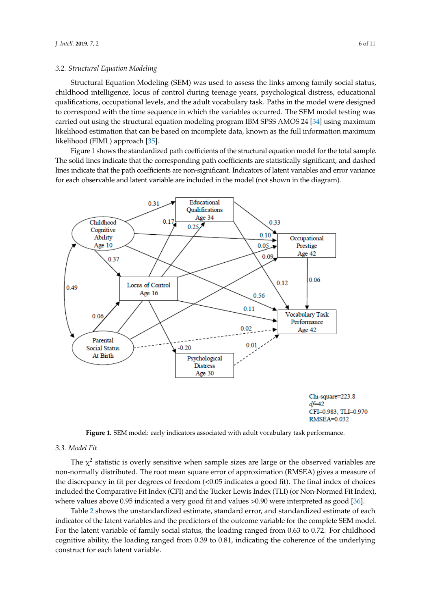Structural Equation Modeling (SEM) was used to assess the links among family social status, childhood intelligence, locus of control during teenage years, psychological distress, educational qualifications, occupational levels, and the adult vocabulary task. Paths in the model were designed to correspond with the time sequence in which the variables occurred. The SEM model testing was carried out using the structural equation modeling program IBM SPSS AMOS 24 [\[34\]](#page-9-21) using maximum likelihood estimation that can be based on incomplete data, known as the full information maximum likelihood (FIML) approach [\[35\]](#page-10-0).<br>Figure 1 shows the standardized path coefficients of the structural equation model for the total for the total Structural Equation Modeling (SEM) was used to assess the links among family social status, Structural equation infodeling (SENI) was used to assess the links among family social status,

Figure [1](#page-5-0) shows the standardized path coefficients of the structural equation model for the total sample. The solid lines indicate that the corresponding path coefficients are statistically significant, and dashed lines indicate that the path coefficients are non-significant. Indicators of latent variables and error variance for each observable and latent variable are included in the model (not shown in the diagram).

<span id="page-5-0"></span>

**Figure 1.** SEM model: early indicators associated with adult vocabulary task performance. **Figure 1.** SEM model: early indicators associated with adult vocabulary task performance.

# *3.3. Model Fit 3.3. Model Fit*

The  $\chi^2$  statistic is overly sensitive when sample sizes are large or the observed variables are non-normally distributed. The root mean square error of approximation (RMSEA) gives a measure of the discrepancy in fit per degrees of freedom  $\ll 0.05$  indicates a good fit). The final index of choices included the Comparative Fit Index (CFI) and the Tucker Lewis Index (TLI) (or Non-Normed Fit included the Comparative Fit Index (CFI) and the Tucker Lewis Index (TLI) (or Non-Normed Fit Index), where values above 0.95 indicated a very good fit and values >0.90 were interpreted as good [\[36\]](#page-10-1).

indicator of the latent variables and the predictors of the outcome variable for the complete  ${\rm SEM}$  model. For the latent variable of family social status, the loading ranged from 0.63 to 0.72. For childhood cognitive ability, the loading ranged from 0.39 to 0.81, indicating the coherence of the underlying construct for each latent variable. Table [2](#page-6-0) shows the unstandardized estimate, standard error, and standardized estimate of each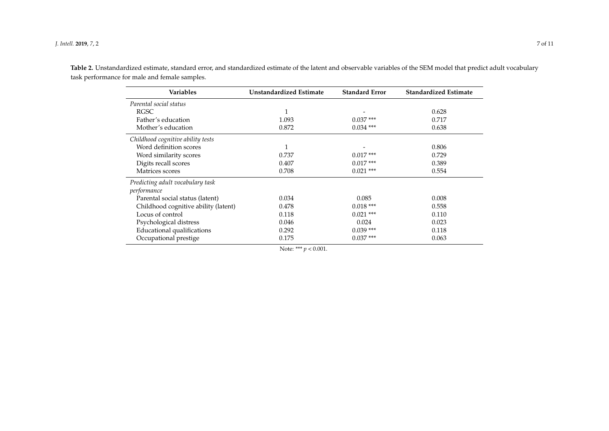<span id="page-6-0"></span>

| <b>Variables</b>                     | <b>Unstandardized Estimate</b> | <b>Standard Error</b> | <b>Standardized Estimate</b> |
|--------------------------------------|--------------------------------|-----------------------|------------------------------|
| Parental social status               |                                |                       |                              |
| RGSC                                 |                                |                       | 0.628                        |
| Father's education                   | 1.093                          | $0.037***$            | 0.717                        |
| Mother's education                   | 0.872                          | $0.034$ ***           | 0.638                        |
| Childhood cognitive ability tests    |                                |                       |                              |
| Word definition scores               |                                |                       | 0.806                        |
| Word similarity scores               | 0.737                          | $0.017***$            | 0.729                        |
| Digits recall scores                 | 0.407                          | $0.017***$            | 0.389                        |
| Matrices scores                      | 0.708                          | $0.021$ ***           | 0.554                        |
| Predicting adult vocabulary task     |                                |                       |                              |
| performance                          |                                |                       |                              |
| Parental social status (latent)      | 0.034                          | 0.085                 | 0.008                        |
| Childhood cognitive ability (latent) | 0.478                          | $0.018***$            | 0.558                        |
| Locus of control                     | 0.118                          | $0.021$ ***           | 0.110                        |
| Psychological distress               | 0.046                          | 0.024                 | 0.023                        |
| Educational qualifications           | 0.292                          | $0.039$ ***           | 0.118                        |
| Occupational prestige                | 0.175                          | $0.037***$            | 0.063                        |

**Table 2.** Unstandardized estimate, standard error, and standardized estimate of the latent and observable variables of the SEM model that predict adult vocabulary task performance for male and female samples.

Note: \*\*\*  $p < 0.001$ .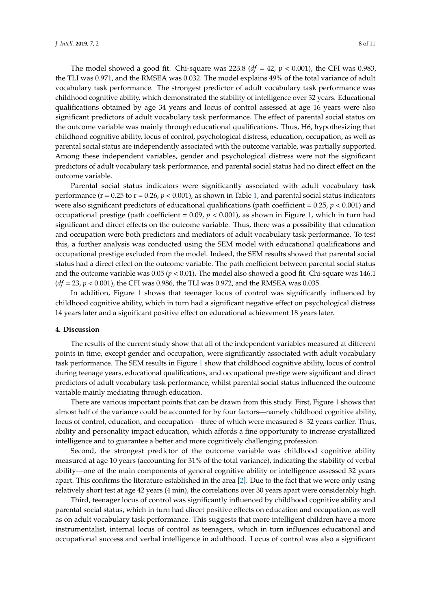The model showed a good fit. Chi-square was 223.8 (*df* = 42, *p* < 0.001), the CFI was 0.983, the TLI was 0.971, and the RMSEA was 0.032. The model explains 49% of the total variance of adult vocabulary task performance. The strongest predictor of adult vocabulary task performance was childhood cognitive ability, which demonstrated the stability of intelligence over 32 years. Educational qualifications obtained by age 34 years and locus of control assessed at age 16 years were also significant predictors of adult vocabulary task performance. The effect of parental social status on the outcome variable was mainly through educational qualifications. Thus, H6, hypothesizing that childhood cognitive ability, locus of control, psychological distress, education, occupation, as well as

parental social status are independently associated with the outcome variable, was partially supported. Among these independent variables, gender and psychological distress were not the significant predictors of adult vocabulary task performance, and parental social status had no direct effect on the outcome variable.

Parental social status indicators were significantly associated with adult vocabulary task performance ( $r = 0.25$  to  $r = 0.26$ ,  $p < 0.001$ ), as shown in Table [1,](#page-4-0) and parental social status indicators were also significant predictors of educational qualifications (path coefficient =  $0.25$ ,  $p < 0.001$ ) and occupational prestige (path coefficient =  $0.09$ ,  $p < 0.001$ ), as shown in Figure [1,](#page-5-0) which in turn had significant and direct effects on the outcome variable. Thus, there was a possibility that education and occupation were both predictors and mediators of adult vocabulary task performance. To test this, a further analysis was conducted using the SEM model with educational qualifications and occupational prestige excluded from the model. Indeed, the SEM results showed that parental social status had a direct effect on the outcome variable. The path coefficient between parental social status and the outcome variable was  $0.05 (p < 0.01)$ . The model also showed a good fit. Chi-square was 146.1 (*df* = 23, *p* < 0.001), the CFI was 0.986, the TLI was 0.972, and the RMSEA was 0.035.

In addition, Figure [1](#page-5-0) shows that teenager locus of control was significantly influenced by childhood cognitive ability, which in turn had a significant negative effect on psychological distress 14 years later and a significant positive effect on educational achievement 18 years later.

# **4. Discussion**

The results of the current study show that all of the independent variables measured at different points in time, except gender and occupation, were significantly associated with adult vocabulary task performance. The SEM results in Figure [1](#page-5-0) show that childhood cognitive ability, locus of control during teenage years, educational qualifications, and occupational prestige were significant and direct predictors of adult vocabulary task performance, whilst parental social status influenced the outcome variable mainly mediating through education.

There are various important points that can be drawn from this study. First, Figure [1](#page-5-0) shows that almost half of the variance could be accounted for by four factors—namely childhood cognitive ability, locus of control, education, and occupation—three of which were measured 8–32 years earlier. Thus, ability and personality impact education, which affords a fine opportunity to increase crystallized intelligence and to guarantee a better and more cognitively challenging profession.

Second, the strongest predictor of the outcome variable was childhood cognitive ability measured at age 10 years (accounting for 31% of the total variance), indicating the stability of verbal ability—one of the main components of general cognitive ability or intelligence assessed 32 years apart. This confirms the literature established in the area [\[2\]](#page-8-1). Due to the fact that we were only using relatively short test at age 42 years (4 min), the correlations over 30 years apart were considerably high.

Third, teenager locus of control was significantly influenced by childhood cognitive ability and parental social status, which in turn had direct positive effects on education and occupation, as well as on adult vocabulary task performance. This suggests that more intelligent children have a more instrumentalist, internal locus of control as teenagers, which in turn influences educational and occupational success and verbal intelligence in adulthood. Locus of control was also a significant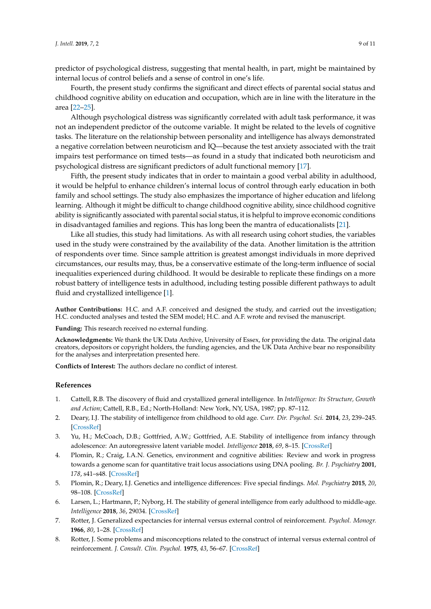predictor of psychological distress, suggesting that mental health, in part, might be maintained by internal locus of control beliefs and a sense of control in one's life.

Fourth, the present study confirms the significant and direct effects of parental social status and childhood cognitive ability on education and occupation, which are in line with the literature in the area [\[22–](#page-9-22)[25\]](#page-9-23).

Although psychological distress was significantly correlated with adult task performance, it was not an independent predictor of the outcome variable. It might be related to the levels of cognitive tasks. The literature on the relationship between personality and intelligence has always demonstrated a negative correlation between neuroticism and IQ—because the test anxiety associated with the trait impairs test performance on timed tests—as found in a study that indicated both neuroticism and psychological distress are significant predictors of adult functional memory [\[17\]](#page-9-8).

Fifth, the present study indicates that in order to maintain a good verbal ability in adulthood, it would be helpful to enhance children's internal locus of control through early education in both family and school settings. The study also emphasizes the importance of higher education and lifelong learning. Although it might be difficult to change childhood cognitive ability, since childhood cognitive ability is significantly associated with parental social status, it is helpful to improve economic conditions in disadvantaged families and regions. This has long been the mantra of educationalists [\[21\]](#page-9-12).

Like all studies, this study had limitations. As with all research using cohort studies, the variables used in the study were constrained by the availability of the data. Another limitation is the attrition of respondents over time. Since sample attrition is greatest amongst individuals in more deprived circumstances, our results may, thus, be a conservative estimate of the long-term influence of social inequalities experienced during childhood. It would be desirable to replicate these findings on a more robust battery of intelligence tests in adulthood, including testing possible different pathways to adult fluid and crystallized intelligence [\[1\]](#page-8-0).

**Author Contributions:** H.C. and A.F. conceived and designed the study, and carried out the investigation; H.C. conducted analyses and tested the SEM model; H.C. and A.F. wrote and revised the manuscript.

**Funding:** This research received no external funding.

**Acknowledgments:** We thank the UK Data Archive, University of Essex, for providing the data. The original data creators, depositors or copyright holders, the funding agencies, and the UK Data Archive bear no responsibility for the analyses and interpretation presented here.

**Conflicts of Interest:** The authors declare no conflict of interest.

#### **References**

- <span id="page-8-0"></span>1. Cattell, R.B. The discovery of fluid and crystallized general intelligence. In *Intelligence: Its Structure, Growth and Action*; Cattell, R.B., Ed.; North-Holland: New York, NY, USA, 1987; pp. 87–112.
- <span id="page-8-1"></span>2. Deary, I.J. The stability of intelligence from childhood to old age. *Curr. Dir. Psychol. Sci.* **2014**, *23*, 239–245. [\[CrossRef\]](http://dx.doi.org/10.1177/0963721414536905)
- <span id="page-8-2"></span>3. Yu, H.; McCoach, D.B.; Gottfried, A.W.; Gottfried, A.E. Stability of intelligence from infancy through adolescence: An autoregressive latent variable model. *Intelligence* **2018**, *69*, 8–15. [\[CrossRef\]](http://dx.doi.org/10.1016/j.intell.2018.03.011)
- <span id="page-8-3"></span>4. Plomin, R.; Craig, I.A.N. Genetics, environment and cognitive abilities: Review and work in progress towards a genome scan for quantitative trait locus associations using DNA pooling. *Br. J. Psychiatry* **2001**, *178*, s41–s48. [\[CrossRef\]](http://dx.doi.org/10.1192/bjp.178.40.s41)
- <span id="page-8-4"></span>5. Plomin, R.; Deary, I.J. Genetics and intelligence differences: Five special findings. *Mol. Psychiatry* **2015**, *20*, 98–108. [\[CrossRef\]](http://dx.doi.org/10.1038/mp.2014.105)
- <span id="page-8-5"></span>6. Larsen, L.; Hartmann, P.; Nyborg, H. The stability of general intelligence from early adulthood to middle-age. *Intelligence* **2018**, *36*, 29034. [\[CrossRef\]](http://dx.doi.org/10.1016/j.intell.2007.01.001)
- <span id="page-8-6"></span>7. Rotter, J. Generalized expectancies for internal versus external control of reinforcement. *Psychol. Monogr.* **1966**, *80*, 1–28. [\[CrossRef\]](http://dx.doi.org/10.1037/h0092976)
- <span id="page-8-7"></span>8. Rotter, J. Some problems and misconceptions related to the construct of internal versus external control of reinforcement. *J. Consult. Clin. Psychol.* **1975**, *43*, 56–67. [\[CrossRef\]](http://dx.doi.org/10.1037/h0076301)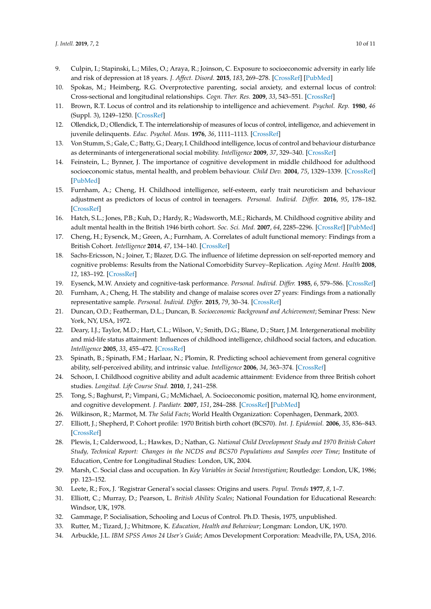- <span id="page-9-0"></span>9. Culpin, I.; Stapinski, L.; Miles, O.; Araya, R.; Joinson, C. Exposure to socioeconomic adversity in early life and risk of depression at 18 years. *J. Affect. Disord.* **2015**, *183*, 269–278. [\[CrossRef\]](http://dx.doi.org/10.1016/j.jad.2015.05.030) [\[PubMed\]](http://www.ncbi.nlm.nih.gov/pubmed/26047304)
- <span id="page-9-1"></span>10. Spokas, M.; Heimberg, R.G. Overprotective parenting, social anxiety, and external locus of control: Cross-sectional and longitudinal relationships. *Cogn. Ther. Res.* **2009**, *33*, 543–551. [\[CrossRef\]](http://dx.doi.org/10.1007/s10608-008-9227-5)
- <span id="page-9-2"></span>11. Brown, R.T. Locus of control and its relationship to intelligence and achievement. *Psychol. Rep.* **1980**, *46* (Suppl. 3), 1249–1250. [\[CrossRef\]](http://dx.doi.org/10.2466/pr0.1980.46.3c.1249)
- <span id="page-9-3"></span>12. Ollendick, D.; Ollendick, T. The interrelationship of measures of locus of control, intelligence, and achievement in juvenile delinquents. *Educ. Psychol. Meas.* **1976**, *36*, 1111–1113. [\[CrossRef\]](http://dx.doi.org/10.1177/001316447603600443)
- <span id="page-9-4"></span>13. Von Stumm, S.; Gale, C.; Batty, G.; Deary, I. Childhood intelligence, locus of control and behaviour disturbance as determinants of intergenerational social mobility. *Intelligence* **2009**, *37*, 329–340. [\[CrossRef\]](http://dx.doi.org/10.1016/j.intell.2009.04.002)
- <span id="page-9-5"></span>14. Feinstein, L.; Bynner, J. The importance of cognitive development in middle childhood for adulthood socioeconomic status, mental health, and problem behaviour. *Child Dev.* **2004**, *75*, 1329–1339. [\[CrossRef\]](http://dx.doi.org/10.1111/j.1467-8624.2004.00743.x) [\[PubMed\]](http://www.ncbi.nlm.nih.gov/pubmed/15369517)
- <span id="page-9-6"></span>15. Furnham, A.; Cheng, H. Childhood intelligence, self-esteem, early trait neuroticism and behaviour adjustment as predictors of locus of control in teenagers. *Personal. Individ. Differ.* **2016**, *95*, 178–182. [\[CrossRef\]](http://dx.doi.org/10.1016/j.paid.2016.02.054)
- <span id="page-9-7"></span>16. Hatch, S.L.; Jones, P.B.; Kuh, D.; Hardy, R.; Wadsworth, M.E.; Richards, M. Childhood cognitive ability and adult mental health in the British 1946 birth cohort. *Soc. Sci. Med.* **2007**, *64*, 2285–2296. [\[CrossRef\]](http://dx.doi.org/10.1016/j.socscimed.2007.02.027) [\[PubMed\]](http://www.ncbi.nlm.nih.gov/pubmed/17397976)
- <span id="page-9-8"></span>17. Cheng, H.; Eysenck, M.; Green, A.; Furnham, A. Correlates of adult functional memory: Findings from a British Cohort. *Intelligence* **2014**, *47*, 134–140. [\[CrossRef\]](http://dx.doi.org/10.1016/j.intell.2014.09.007)
- <span id="page-9-9"></span>18. Sachs-Ericsson, N.; Joiner, T.; Blazer, D.G. The influence of lifetime depression on self-reported memory and cognitive problems: Results from the National Comorbidity Survey–Replication. *Aging Ment. Health* **2008**, *12*, 183–192. [\[CrossRef\]](http://dx.doi.org/10.1080/13607860801951739)
- <span id="page-9-11"></span><span id="page-9-10"></span>19. Eysenck, M.W. Anxiety and cognitive-task performance. *Personal. Individ. Differ.* **1985**, *6*, 579–586. [\[CrossRef\]](http://dx.doi.org/10.1016/0191-8869(85)90007-8)
- 20. Furnham, A.; Cheng, H. The stability and change of malaise scores over 27 years: Findings from a nationally representative sample. *Personal. Individ. Differ.* **2015**, *79*, 30–34. [\[CrossRef\]](http://dx.doi.org/10.1016/j.paid.2015.01.027)
- <span id="page-9-12"></span>21. Duncan, O.D.; Featherman, D.L.; Duncan, B. *Socioeconomic Background and Achievement*; Seminar Press: New York, NY, USA, 1972.
- <span id="page-9-22"></span>22. Deary, I.J.; Taylor, M.D.; Hart, C.L.; Wilson, V.; Smith, D.G.; Blane, D.; Starr, J.M. Intergenerational mobility and mid-life status attainment: Influences of childhood intelligence, childhood social factors, and education. *Intelligence* **2005**, *33*, 455–472. [\[CrossRef\]](http://dx.doi.org/10.1016/j.intell.2005.06.003)
- 23. Spinath, B.; Spinath, F.M.; Harlaar, N.; Plomin, R. Predicting school achievement from general cognitive ability, self-perceived ability, and intrinsic value. *Intelligence* **2006**, *34*, 363–374. [\[CrossRef\]](http://dx.doi.org/10.1016/j.intell.2005.11.004)
- 24. Schoon, I. Childhood cognitive ability and adult academic attainment: Evidence from three British cohort studies. *Longitud. Life Course Stud.* **2010**, *1*, 241–258.
- <span id="page-9-23"></span>25. Tong, S.; Baghurst, P.; Vimpani, G.; McMichael, A. Socioeconomic position, maternal IQ, home environment, and cognitive development. *J. Paediatr.* **2007**, *151*, 284–288. [\[CrossRef\]](http://dx.doi.org/10.1016/j.jpeds.2007.03.020) [\[PubMed\]](http://www.ncbi.nlm.nih.gov/pubmed/17719939)
- <span id="page-9-13"></span>26. Wilkinson, R.; Marmot, M. *The Solid Facts*; World Health Organization: Copenhagen, Denmark, 2003.
- <span id="page-9-14"></span>27. Elliott, J.; Shepherd, P. Cohort profile: 1970 British birth cohort (BCS70). *Int. J. Epidemiol.* **2006**, *35*, 836–843. [\[CrossRef\]](http://dx.doi.org/10.1093/ije/dyl174)
- <span id="page-9-15"></span>28. Plewis, I.; Calderwood, L.; Hawkes, D.; Nathan, G. *National Child Development Study and 1970 British Cohort Study, Technical Report: Changes in the NCDS and BCS70 Populations and Samples over Time*; Institute of Education, Centre for Longitudinal Studies: London, UK, 2004.
- <span id="page-9-16"></span>29. Marsh, C. Social class and occupation. In *Key Variables in Social Investigation*; Routledge: London, UK, 1986; pp. 123–152.
- <span id="page-9-17"></span>30. Leete, R.; Fox, J. 'Registrar General's social classes: Origins and users. *Popul. Trends* **1977**, *8*, 1–7.
- <span id="page-9-18"></span>31. Elliott, C.; Murray, D.; Pearson, L. *British Ability Scales*; National Foundation for Educational Research: Windsor, UK, 1978.
- <span id="page-9-19"></span>32. Gammage, P. Socialisation, Schooling and Locus of Control. Ph.D. Thesis, 1975, unpublished.
- <span id="page-9-20"></span>33. Rutter, M.; Tizard, J.; Whitmore, K. *Education, Health and Behaviour*; Longman: London, UK, 1970.
- <span id="page-9-21"></span>34. Arbuckle, J.L. *IBM SPSS Amos 24 User's Guide*; Amos Development Corporation: Meadville, PA, USA, 2016.